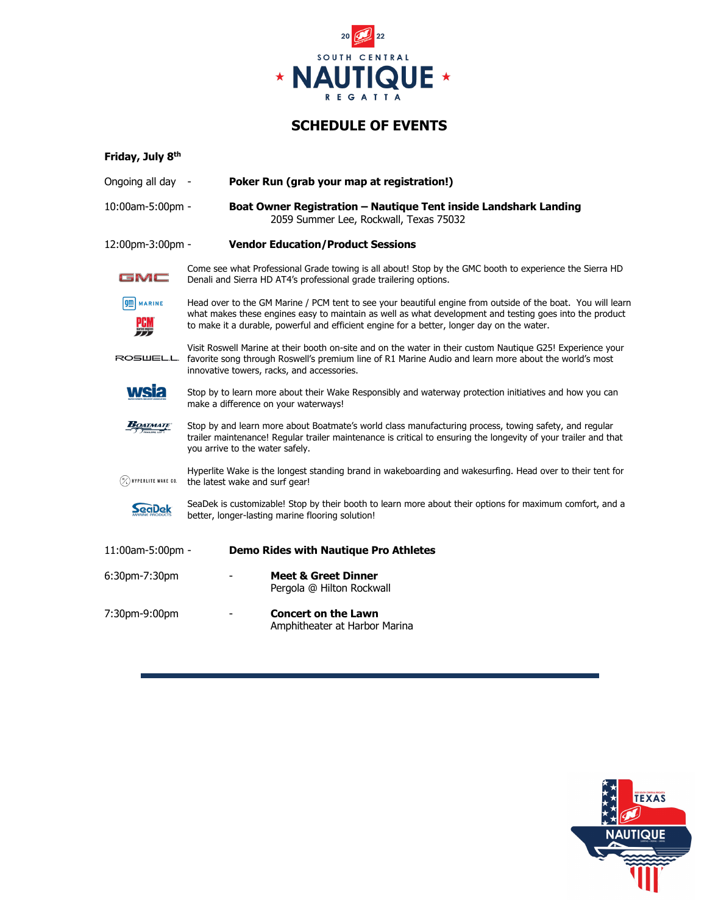

## **SCHEDULE OF EVENTS**

| Friday, July 8th                                                 |                                                                                                                                                                                                                                                                                                                      |  |  |
|------------------------------------------------------------------|----------------------------------------------------------------------------------------------------------------------------------------------------------------------------------------------------------------------------------------------------------------------------------------------------------------------|--|--|
| Ongoing all day -                                                | Poker Run (grab your map at registration!)                                                                                                                                                                                                                                                                           |  |  |
| 10:00am-5:00pm -                                                 | Boat Owner Registration - Nautique Tent inside Landshark Landing<br>2059 Summer Lee, Rockwall, Texas 75032                                                                                                                                                                                                           |  |  |
| 12:00pm-3:00pm -                                                 | <b>Vendor Education/Product Sessions</b>                                                                                                                                                                                                                                                                             |  |  |
| GMC                                                              | Come see what Professional Grade towing is all about! Stop by the GMC booth to experience the Sierra HD<br>Denali and Sierra HD AT4's professional grade trailering options.                                                                                                                                         |  |  |
| <b>gm</b> MARINE<br>HEM<br>ככל                                   | Head over to the GM Marine / PCM tent to see your beautiful engine from outside of the boat. You will learn<br>what makes these engines easy to maintain as well as what development and testing goes into the product<br>to make it a durable, powerful and efficient engine for a better, longer day on the water. |  |  |
| ROSWEL.L.                                                        | Visit Roswell Marine at their booth on-site and on the water in their custom Nautique G25! Experience your<br>favorite song through Roswell's premium line of R1 Marine Audio and learn more about the world's most<br>innovative towers, racks, and accessories.                                                    |  |  |
| wsia                                                             | Stop by to learn more about their Wake Responsibly and waterway protection initiatives and how you can<br>make a difference on your waterways!                                                                                                                                                                       |  |  |
| <b>BOATMATE</b>                                                  | Stop by and learn more about Boatmate's world class manufacturing process, towing safety, and regular<br>trailer maintenance! Regular trailer maintenance is critical to ensuring the longevity of your trailer and that<br>you arrive to the water safely.                                                          |  |  |
| $(\frac{H}{\sqrt{k}})$ hyperlite wake CO.                        | Hyperlite Wake is the longest standing brand in wakeboarding and wakesurfing. Head over to their tent for<br>the latest wake and surf gear!                                                                                                                                                                          |  |  |
| SeaDek                                                           | SeaDek is customizable! Stop by their booth to learn more about their options for maximum comfort, and a<br>better, longer-lasting marine flooring solution!                                                                                                                                                         |  |  |
| <b>Demo Rides with Nautique Pro Athletes</b><br>11:00am-5:00pm - |                                                                                                                                                                                                                                                                                                                      |  |  |
| 6:30pm-7:30pm                                                    | <b>Meet &amp; Greet Dinner</b><br>Pergola @ Hilton Rockwall                                                                                                                                                                                                                                                          |  |  |
| 7:30pm-9:00pm                                                    | <b>Concert on the Lawn</b><br>Amphitheater at Harbor Marina                                                                                                                                                                                                                                                          |  |  |